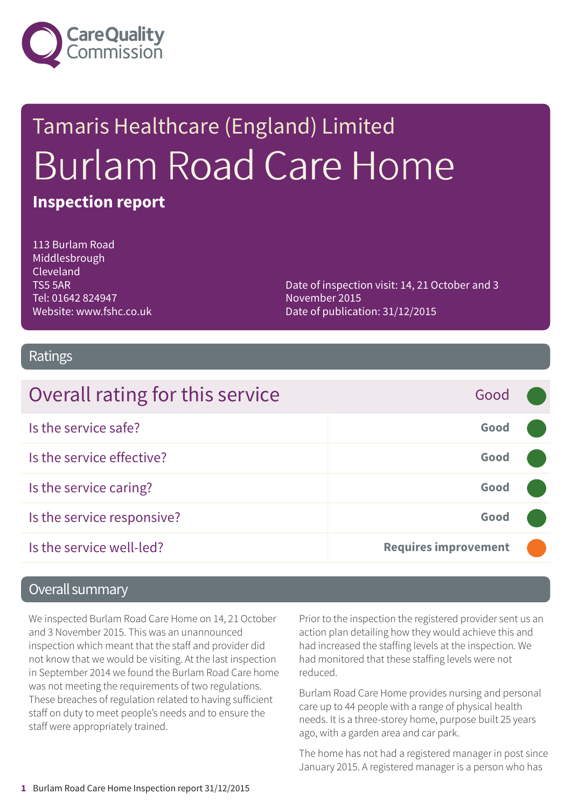

# Tamaris Healthcare (England) Limited Burlam Road Care Home

#### **Inspection report**

113 Burlam Road Middlesbrough Cleveland TS5 5AR Tel: 01642 824947 Website: www.fshc.co.uk

Date of inspection visit: 14, 21 October and 3 November 2015 Date of publication: 31/12/2015

#### Ratings

| Overall rating for this service | Good                        |  |
|---------------------------------|-----------------------------|--|
| Is the service safe?            | Good                        |  |
| Is the service effective?       | Good                        |  |
| Is the service caring?          | Good                        |  |
| Is the service responsive?      | Good                        |  |
| Is the service well-led?        | <b>Requires improvement</b> |  |

#### Overall summary

We inspected Burlam Road Care Home on 14, 21 October and 3 November 2015. This was an unannounced inspection which meant that the staff and provider did not know that we would be visiting. At the last inspection in September 2014 we found the Burlam Road Care home was not meeting the requirements of two regulations. These breaches of regulation related to having sufficient staff on duty to meet people's needs and to ensure the staff were appropriately trained.

Prior to the inspection the registered provider sent us an action plan detailing how they would achieve this and had increased the staffing levels at the inspection. We had monitored that these staffing levels were not reduced.

Burlam Road Care Home provides nursing and personal care up to 44 people with a range of physical health needs. It is a three-storey home, purpose built 25 years ago, with a garden area and car park.

The home has not had a registered manager in post since January 2015. A registered manager is a person who has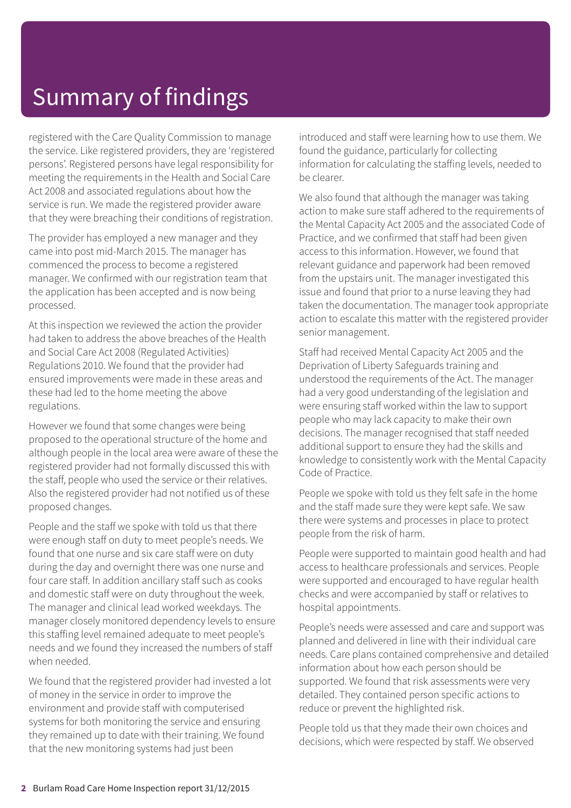registered with the Care Quality Commission to manage the service. Like registered providers, they are 'registered persons'. Registered persons have legal responsibility for meeting the requirements in the Health and Social Care Act 2008 and associated regulations about how the service is run. We made the registered provider aware that they were breaching their conditions of registration.

The provider has employed a new manager and they came into post mid-March 2015. The manager has commenced the process to become a registered manager. We confirmed with our registration team that the application has been accepted and is now being processed.

At this inspection we reviewed the action the provider had taken to address the above breaches of the Health and Social Care Act 2008 (Regulated Activities) Regulations 2010. We found that the provider had ensured improvements were made in these areas and these had led to the home meeting the above regulations.

However we found that some changes were being proposed to the operational structure of the home and although people in the local area were aware of these the registered provider had not formally discussed this with the staff, people who used the service or their relatives. Also the registered provider had not notified us of these proposed changes.

People and the staff we spoke with told us that there were enough staff on duty to meet people's needs. We found that one nurse and six care staff were on duty during the day and overnight there was one nurse and four care staff. In addition ancillary staff such as cooks and domestic staff were on duty throughout the week. The manager and clinical lead worked weekdays. The manager closely monitored dependency levels to ensure this staffing level remained adequate to meet people's needs and we found they increased the numbers of staff when needed.

We found that the registered provider had invested a lot of money in the service in order to improve the environment and provide staff with computerised systems for both monitoring the service and ensuring they remained up to date with their training. We found that the new monitoring systems had just been

introduced and staff were learning how to use them. We found the guidance, particularly for collecting information for calculating the staffing levels, needed to be clearer.

We also found that although the manager was taking action to make sure staff adhered to the requirements of the Mental Capacity Act 2005 and the associated Code of Practice, and we confirmed that staff had been given access to this information. However, we found that relevant guidance and paperwork had been removed from the upstairs unit. The manager investigated this issue and found that prior to a nurse leaving they had taken the documentation. The manager took appropriate action to escalate this matter with the registered provider senior management.

Staff had received Mental Capacity Act 2005 and the Deprivation of Liberty Safeguards training and understood the requirements of the Act. The manager had a very good understanding of the legislation and were ensuring staff worked within the law to support people who may lack capacity to make their own decisions. The manager recognised that staff needed additional support to ensure they had the skills and knowledge to consistently work with the Mental Capacity Code of Practice.

People we spoke with told us they felt safe in the home and the staff made sure they were kept safe. We saw there were systems and processes in place to protect people from the risk of harm.

People were supported to maintain good health and had access to healthcare professionals and services. People were supported and encouraged to have regular health checks and were accompanied by staff or relatives to hospital appointments.

People's needs were assessed and care and support was planned and delivered in line with their individual care needs. Care plans contained comprehensive and detailed information about how each person should be supported. We found that risk assessments were very detailed. They contained person specific actions to reduce or prevent the highlighted risk.

People told us that they made their own choices and decisions, which were respected by staff. We observed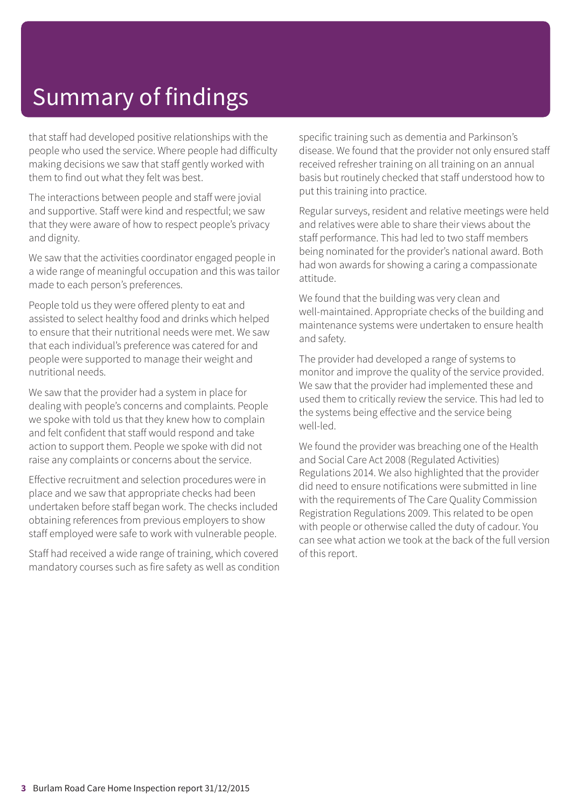that staff had developed positive relationships with the people who used the service. Where people had difficulty making decisions we saw that staff gently worked with them to find out what they felt was best.

The interactions between people and staff were jovial and supportive. Staff were kind and respectful; we saw that they were aware of how to respect people's privacy and dignity.

We saw that the activities coordinator engaged people in a wide range of meaningful occupation and this was tailor made to each person's preferences.

People told us they were offered plenty to eat and assisted to select healthy food and drinks which helped to ensure that their nutritional needs were met. We saw that each individual's preference was catered for and people were supported to manage their weight and nutritional needs.

We saw that the provider had a system in place for dealing with people's concerns and complaints. People we spoke with told us that they knew how to complain and felt confident that staff would respond and take action to support them. People we spoke with did not raise any complaints or concerns about the service.

Effective recruitment and selection procedures were in place and we saw that appropriate checks had been undertaken before staff began work. The checks included obtaining references from previous employers to show staff employed were safe to work with vulnerable people.

Staff had received a wide range of training, which covered mandatory courses such as fire safety as well as condition specific training such as dementia and Parkinson's disease. We found that the provider not only ensured staff received refresher training on all training on an annual basis but routinely checked that staff understood how to put this training into practice.

Regular surveys, resident and relative meetings were held and relatives were able to share their views about the staff performance. This had led to two staff members being nominated for the provider's national award. Both had won awards for showing a caring a compassionate attitude.

We found that the building was very clean and well-maintained. Appropriate checks of the building and maintenance systems were undertaken to ensure health and safety.

The provider had developed a range of systems to monitor and improve the quality of the service provided. We saw that the provider had implemented these and used them to critically review the service. This had led to the systems being effective and the service being well-led.

We found the provider was breaching one of the Health and Social Care Act 2008 (Regulated Activities) Regulations 2014. We also highlighted that the provider did need to ensure notifications were submitted in line with the requirements of The Care Quality Commission Registration Regulations 2009. This related to be open with people or otherwise called the duty of cadour. You can see what action we took at the back of the full version of this report.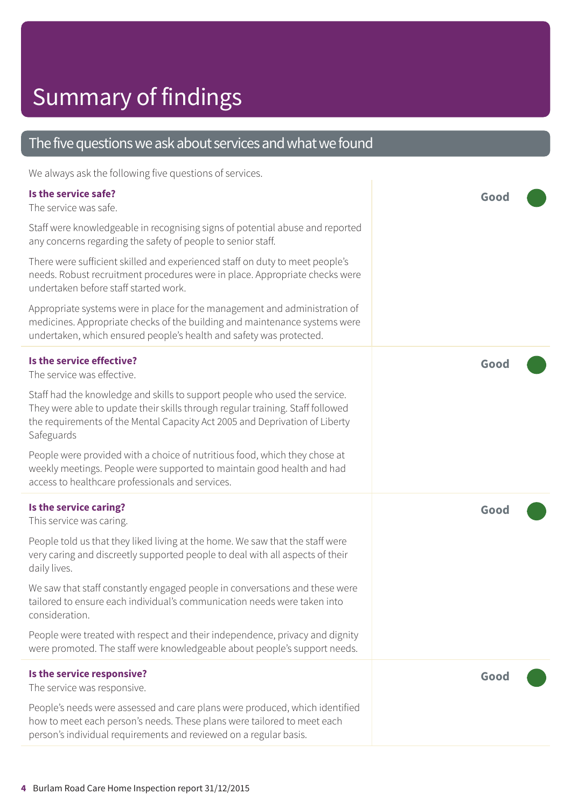#### The five questions we ask about services and what we found

We always ask the following five questions of services.

| Is the service safe?<br>The service was safe.                                                                                                                                                                                                             | Good |
|-----------------------------------------------------------------------------------------------------------------------------------------------------------------------------------------------------------------------------------------------------------|------|
| Staff were knowledgeable in recognising signs of potential abuse and reported<br>any concerns regarding the safety of people to senior staff.                                                                                                             |      |
| There were sufficient skilled and experienced staff on duty to meet people's<br>needs. Robust recruitment procedures were in place. Appropriate checks were<br>undertaken before staff started work.                                                      |      |
| Appropriate systems were in place for the management and administration of<br>medicines. Appropriate checks of the building and maintenance systems were<br>undertaken, which ensured people's health and safety was protected.                           |      |
| Is the service effective?<br>The service was effective.                                                                                                                                                                                                   | Good |
| Staff had the knowledge and skills to support people who used the service.<br>They were able to update their skills through regular training. Staff followed<br>the requirements of the Mental Capacity Act 2005 and Deprivation of Liberty<br>Safeguards |      |
| People were provided with a choice of nutritious food, which they chose at<br>weekly meetings. People were supported to maintain good health and had<br>access to healthcare professionals and services.                                                  |      |
| Is the service caring?<br>This service was caring.                                                                                                                                                                                                        | Good |
| People told us that they liked living at the home. We saw that the staff were<br>very caring and discreetly supported people to deal with all aspects of their<br>daily lives.                                                                            |      |
| We saw that staff constantly engaged people in conversations and these were<br>tailored to ensure each individual's communication needs were taken into<br>consideration.                                                                                 |      |
| People were treated with respect and their independence, privacy and dignity<br>were promoted. The staff were knowledgeable about people's support needs.                                                                                                 |      |
| Is the service responsive?<br>The service was responsive.                                                                                                                                                                                                 | Good |
| People's needs were assessed and care plans were produced, which identified<br>how to meet each person's needs. These plans were tailored to meet each<br>person's individual requirements and reviewed on a regular basis.                               |      |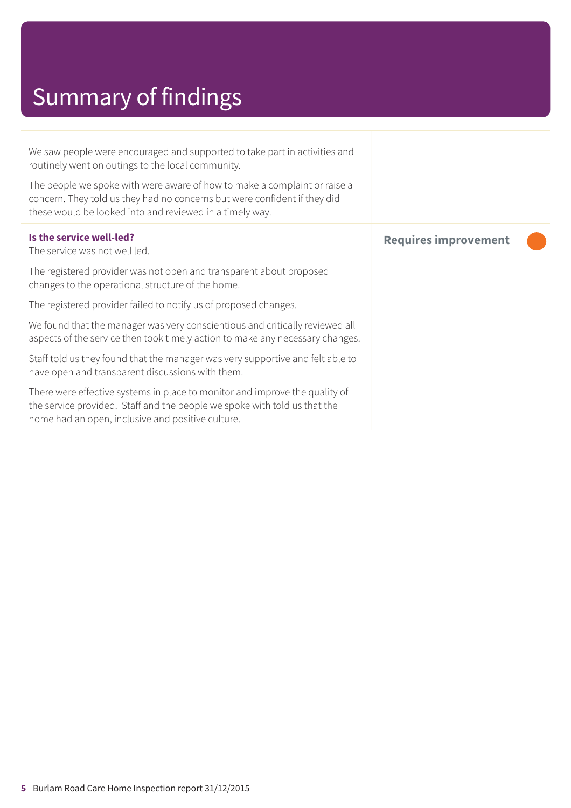We saw people were encouraged and supported to take part in activities and routinely went on outings to the local community.

The people we spoke with were aware of how to make a complaint or raise a concern. They told us they had no concerns but were confident if they did these would be looked into and reviewed in a timely way.

| Is the service well-led?<br>The service was not well led.                                                                                                                                                     | <b>Requires improvement</b> |  |
|---------------------------------------------------------------------------------------------------------------------------------------------------------------------------------------------------------------|-----------------------------|--|
| The registered provider was not open and transparent about proposed<br>changes to the operational structure of the home.                                                                                      |                             |  |
| The registered provider failed to notify us of proposed changes.                                                                                                                                              |                             |  |
| We found that the manager was very conscientious and critically reviewed all<br>aspects of the service then took timely action to make any necessary changes.                                                 |                             |  |
| Staff told us they found that the manager was very supportive and felt able to<br>have open and transparent discussions with them.                                                                            |                             |  |
| There were effective systems in place to monitor and improve the quality of<br>the service provided. Staff and the people we spoke with told us that the<br>home had an open, inclusive and positive culture. |                             |  |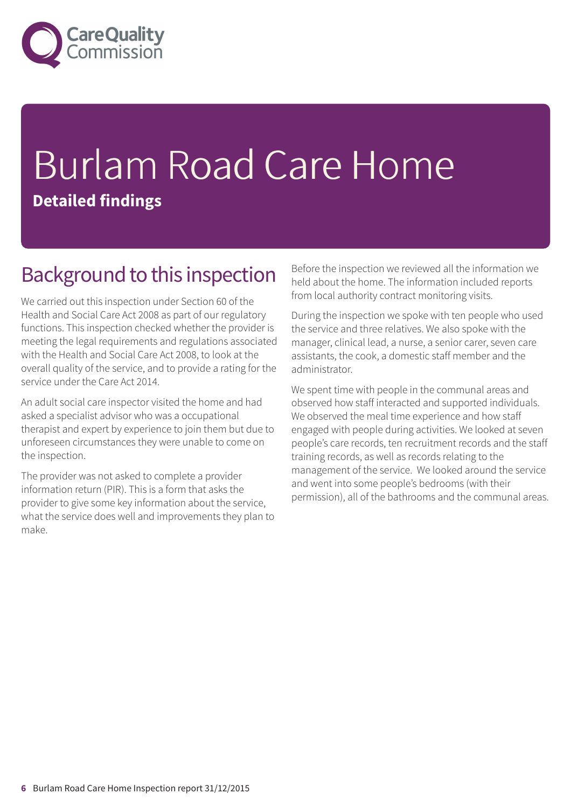

## Burlam Road Care Home **Detailed findings**

#### Background to this inspection

We carried out this inspection under Section 60 of the Health and Social Care Act 2008 as part of our regulatory functions. This inspection checked whether the provider is meeting the legal requirements and regulations associated with the Health and Social Care Act 2008, to look at the overall quality of the service, and to provide a rating for the service under the Care Act 2014.

An adult social care inspector visited the home and had asked a specialist advisor who was a occupational therapist and expert by experience to join them but due to unforeseen circumstances they were unable to come on the inspection.

The provider was not asked to complete a provider information return (PIR). This is a form that asks the provider to give some key information about the service, what the service does well and improvements they plan to make.

Before the inspection we reviewed all the information we held about the home. The information included reports from local authority contract monitoring visits.

During the inspection we spoke with ten people who used the service and three relatives. We also spoke with the manager, clinical lead, a nurse, a senior carer, seven care assistants, the cook, a domestic staff member and the administrator.

We spent time with people in the communal areas and observed how staff interacted and supported individuals. We observed the meal time experience and how staff engaged with people during activities. We looked at seven people's care records, ten recruitment records and the staff training records, as well as records relating to the management of the service. We looked around the service and went into some people's bedrooms (with their permission), all of the bathrooms and the communal areas.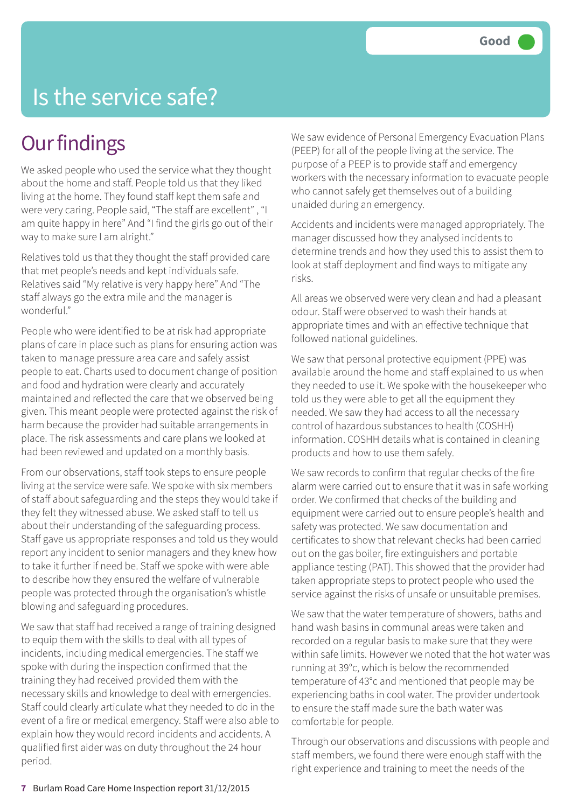#### Is the service safe?

#### **Our findings**

We asked people who used the service what they thought about the home and staff. People told us that they liked living at the home. They found staff kept them safe and were very caring. People said, "The staff are excellent" , "I am quite happy in here" And "I find the girls go out of their way to make sure I am alright."

Relatives told us that they thought the staff provided care that met people's needs and kept individuals safe. Relatives said "My relative is very happy here" And "The staff always go the extra mile and the manager is wonderful."

People who were identified to be at risk had appropriate plans of care in place such as plans for ensuring action was taken to manage pressure area care and safely assist people to eat. Charts used to document change of position and food and hydration were clearly and accurately maintained and reflected the care that we observed being given. This meant people were protected against the risk of harm because the provider had suitable arrangements in place. The risk assessments and care plans we looked at had been reviewed and updated on a monthly basis.

From our observations, staff took steps to ensure people living at the service were safe. We spoke with six members of staff about safeguarding and the steps they would take if they felt they witnessed abuse. We asked staff to tell us about their understanding of the safeguarding process. Staff gave us appropriate responses and told us they would report any incident to senior managers and they knew how to take it further if need be. Staff we spoke with were able to describe how they ensured the welfare of vulnerable people was protected through the organisation's whistle blowing and safeguarding procedures.

We saw that staff had received a range of training designed to equip them with the skills to deal with all types of incidents, including medical emergencies. The staff we spoke with during the inspection confirmed that the training they had received provided them with the necessary skills and knowledge to deal with emergencies. Staff could clearly articulate what they needed to do in the event of a fire or medical emergency. Staff were also able to explain how they would record incidents and accidents. A qualified first aider was on duty throughout the 24 hour period.

We saw evidence of Personal Emergency Evacuation Plans (PEEP) for all of the people living at the service. The purpose of a PEEP is to provide staff and emergency workers with the necessary information to evacuate people who cannot safely get themselves out of a building unaided during an emergency.

Accidents and incidents were managed appropriately. The manager discussed how they analysed incidents to determine trends and how they used this to assist them to look at staff deployment and find ways to mitigate any risks.

All areas we observed were very clean and had a pleasant odour. Staff were observed to wash their hands at appropriate times and with an effective technique that followed national guidelines.

We saw that personal protective equipment (PPE) was available around the home and staff explained to us when they needed to use it. We spoke with the housekeeper who told us they were able to get all the equipment they needed. We saw they had access to all the necessary control of hazardous substances to health (COSHH) information. COSHH details what is contained in cleaning products and how to use them safely.

We saw records to confirm that regular checks of the fire alarm were carried out to ensure that it was in safe working order. We confirmed that checks of the building and equipment were carried out to ensure people's health and safety was protected. We saw documentation and certificates to show that relevant checks had been carried out on the gas boiler, fire extinguishers and portable appliance testing (PAT). This showed that the provider had taken appropriate steps to protect people who used the service against the risks of unsafe or unsuitable premises.

We saw that the water temperature of showers, baths and hand wash basins in communal areas were taken and recorded on a regular basis to make sure that they were within safe limits. However we noted that the hot water was running at 39°c, which is below the recommended temperature of 43°c and mentioned that people may be experiencing baths in cool water. The provider undertook to ensure the staff made sure the bath water was comfortable for people.

Through our observations and discussions with people and staff members, we found there were enough staff with the right experience and training to meet the needs of the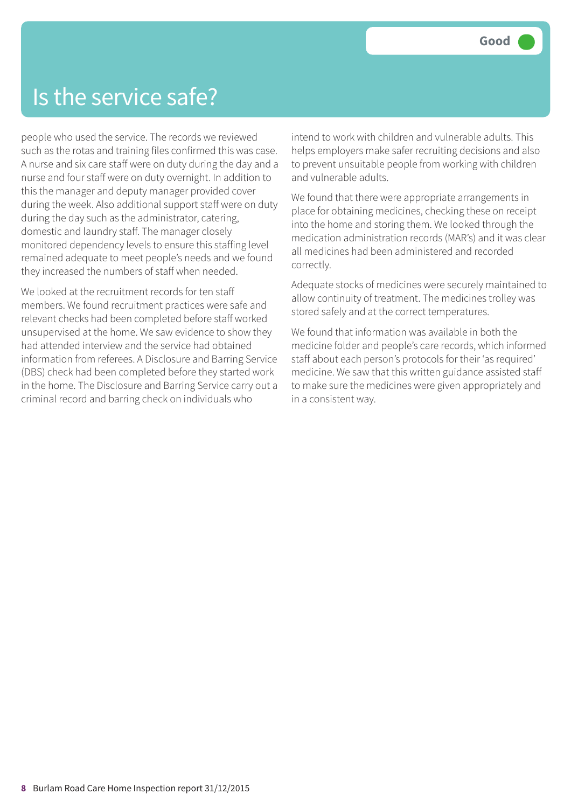#### Is the service safe?

people who used the service. The records we reviewed such as the rotas and training files confirmed this was case. A nurse and six care staff were on duty during the day and a nurse and four staff were on duty overnight. In addition to this the manager and deputy manager provided cover during the week. Also additional support staff were on duty during the day such as the administrator, catering, domestic and laundry staff. The manager closely monitored dependency levels to ensure this staffing level remained adequate to meet people's needs and we found they increased the numbers of staff when needed.

We looked at the recruitment records for ten staff members. We found recruitment practices were safe and relevant checks had been completed before staff worked unsupervised at the home. We saw evidence to show they had attended interview and the service had obtained information from referees. A Disclosure and Barring Service (DBS) check had been completed before they started work in the home. The Disclosure and Barring Service carry out a criminal record and barring check on individuals who

intend to work with children and vulnerable adults. This helps employers make safer recruiting decisions and also to prevent unsuitable people from working with children and vulnerable adults.

We found that there were appropriate arrangements in place for obtaining medicines, checking these on receipt into the home and storing them. We looked through the medication administration records (MAR's) and it was clear all medicines had been administered and recorded correctly.

Adequate stocks of medicines were securely maintained to allow continuity of treatment. The medicines trolley was stored safely and at the correct temperatures.

We found that information was available in both the medicine folder and people's care records, which informed staff about each person's protocols for their 'as required' medicine. We saw that this written guidance assisted staff to make sure the medicines were given appropriately and in a consistent way.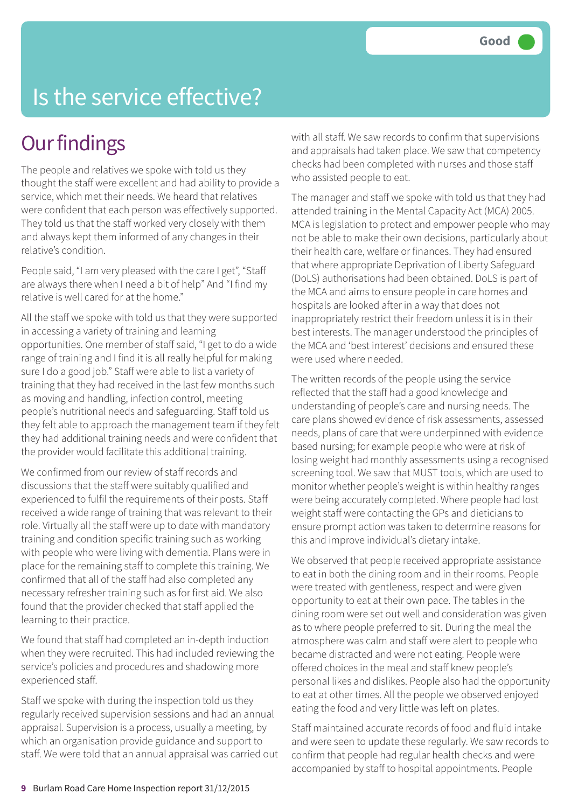#### Is the service effective?

#### **Our findings**

The people and relatives we spoke with told us they thought the staff were excellent and had ability to provide a service, which met their needs. We heard that relatives were confident that each person was effectively supported. They told us that the staff worked very closely with them and always kept them informed of any changes in their relative's condition.

People said, "I am very pleased with the care I get", "Staff are always there when I need a bit of help" And "I find my relative is well cared for at the home."

All the staff we spoke with told us that they were supported in accessing a variety of training and learning opportunities. One member of staff said, "I get to do a wide range of training and I find it is all really helpful for making sure I do a good job." Staff were able to list a variety of training that they had received in the last few months such as moving and handling, infection control, meeting people's nutritional needs and safeguarding. Staff told us they felt able to approach the management team if they felt they had additional training needs and were confident that the provider would facilitate this additional training.

We confirmed from our review of staff records and discussions that the staff were suitably qualified and experienced to fulfil the requirements of their posts. Staff received a wide range of training that was relevant to their role. Virtually all the staff were up to date with mandatory training and condition specific training such as working with people who were living with dementia. Plans were in place for the remaining staff to complete this training. We confirmed that all of the staff had also completed any necessary refresher training such as for first aid. We also found that the provider checked that staff applied the learning to their practice.

We found that staff had completed an in-depth induction when they were recruited. This had included reviewing the service's policies and procedures and shadowing more experienced staff.

Staff we spoke with during the inspection told us they regularly received supervision sessions and had an annual appraisal. Supervision is a process, usually a meeting, by which an organisation provide guidance and support to staff. We were told that an annual appraisal was carried out with all staff. We saw records to confirm that supervisions and appraisals had taken place. We saw that competency checks had been completed with nurses and those staff who assisted people to eat.

The manager and staff we spoke with told us that they had attended training in the Mental Capacity Act (MCA) 2005. MCA is legislation to protect and empower people who may not be able to make their own decisions, particularly about their health care, welfare or finances. They had ensured that where appropriate Deprivation of Liberty Safeguard (DoLS) authorisations had been obtained. DoLS is part of the MCA and aims to ensure people in care homes and hospitals are looked after in a way that does not inappropriately restrict their freedom unless it is in their best interests. The manager understood the principles of the MCA and 'best interest' decisions and ensured these were used where needed.

The written records of the people using the service reflected that the staff had a good knowledge and understanding of people's care and nursing needs. The care plans showed evidence of risk assessments, assessed needs, plans of care that were underpinned with evidence based nursing; for example people who were at risk of losing weight had monthly assessments using a recognised screening tool. We saw that MUST tools, which are used to monitor whether people's weight is within healthy ranges were being accurately completed. Where people had lost weight staff were contacting the GPs and dieticians to ensure prompt action was taken to determine reasons for this and improve individual's dietary intake.

We observed that people received appropriate assistance to eat in both the dining room and in their rooms. People were treated with gentleness, respect and were given opportunity to eat at their own pace. The tables in the dining room were set out well and consideration was given as to where people preferred to sit. During the meal the atmosphere was calm and staff were alert to people who became distracted and were not eating. People were offered choices in the meal and staff knew people's personal likes and dislikes. People also had the opportunity to eat at other times. All the people we observed enjoyed eating the food and very little was left on plates.

Staff maintained accurate records of food and fluid intake and were seen to update these regularly. We saw records to confirm that people had regular health checks and were accompanied by staff to hospital appointments. People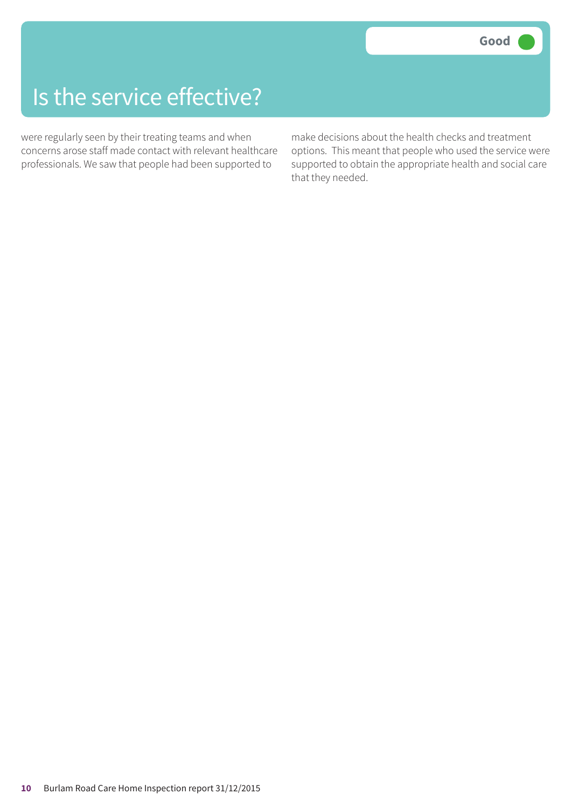#### Is the service effective?

were regularly seen by their treating teams and when concerns arose staff made contact with relevant healthcare professionals. We saw that people had been supported to

make decisions about the health checks and treatment options. This meant that people who used the service were supported to obtain the appropriate health and social care that they needed.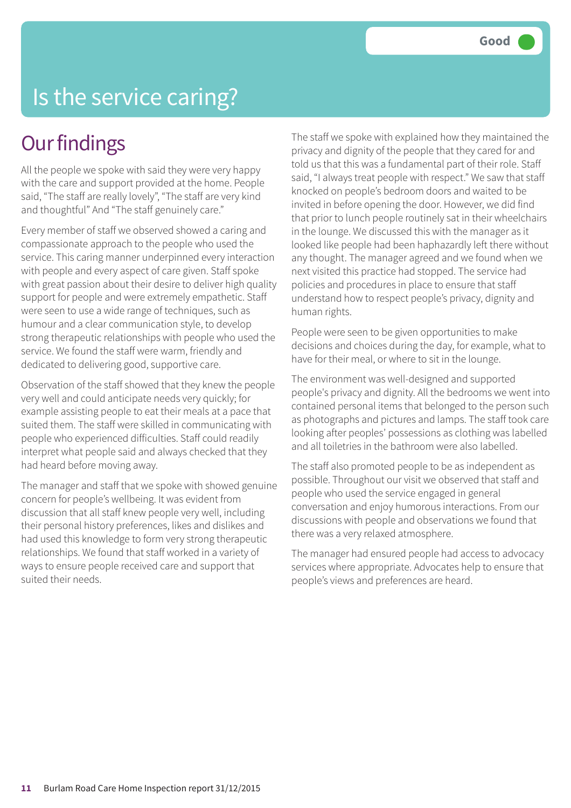#### Is the service caring?

#### **Our findings**

All the people we spoke with said they were very happy with the care and support provided at the home. People said, "The staff are really lovely", "The staff are very kind and thoughtful" And "The staff genuinely care."

Every member of staff we observed showed a caring and compassionate approach to the people who used the service. This caring manner underpinned every interaction with people and every aspect of care given. Staff spoke with great passion about their desire to deliver high quality support for people and were extremely empathetic. Staff were seen to use a wide range of techniques, such as humour and a clear communication style, to develop strong therapeutic relationships with people who used the service. We found the staff were warm, friendly and dedicated to delivering good, supportive care.

Observation of the staff showed that they knew the people very well and could anticipate needs very quickly; for example assisting people to eat their meals at a pace that suited them. The staff were skilled in communicating with people who experienced difficulties. Staff could readily interpret what people said and always checked that they had heard before moving away.

The manager and staff that we spoke with showed genuine concern for people's wellbeing. It was evident from discussion that all staff knew people very well, including their personal history preferences, likes and dislikes and had used this knowledge to form very strong therapeutic relationships. We found that staff worked in a variety of ways to ensure people received care and support that suited their needs.

The staff we spoke with explained how they maintained the privacy and dignity of the people that they cared for and told us that this was a fundamental part of their role. Staff said, "I always treat people with respect." We saw that staff knocked on people's bedroom doors and waited to be invited in before opening the door. However, we did find that prior to lunch people routinely sat in their wheelchairs in the lounge. We discussed this with the manager as it looked like people had been haphazardly left there without any thought. The manager agreed and we found when we next visited this practice had stopped. The service had policies and procedures in place to ensure that staff understand how to respect people's privacy, dignity and human rights.

People were seen to be given opportunities to make decisions and choices during the day, for example, what to have for their meal, or where to sit in the lounge.

The environment was well-designed and supported people's privacy and dignity. All the bedrooms we went into contained personal items that belonged to the person such as photographs and pictures and lamps. The staff took care looking after peoples' possessions as clothing was labelled and all toiletries in the bathroom were also labelled.

The staff also promoted people to be as independent as possible. Throughout our visit we observed that staff and people who used the service engaged in general conversation and enjoy humorous interactions. From our discussions with people and observations we found that there was a very relaxed atmosphere.

The manager had ensured people had access to advocacy services where appropriate. Advocates help to ensure that people's views and preferences are heard.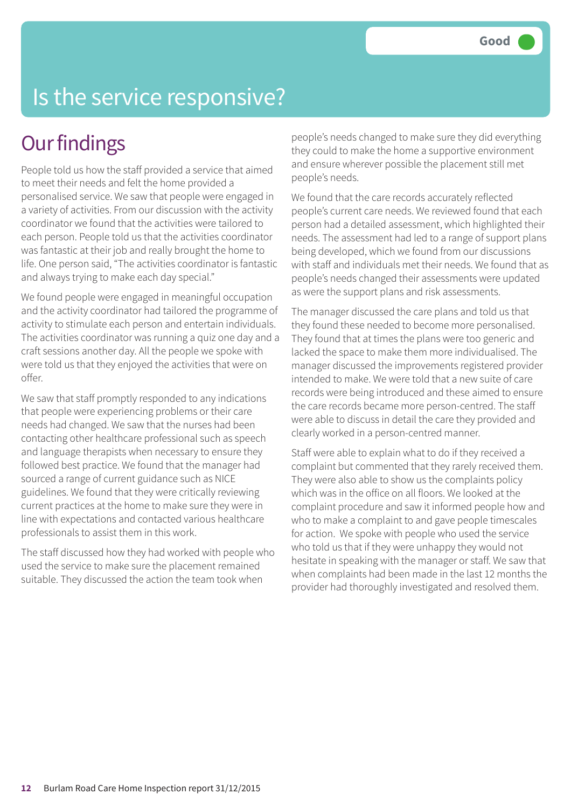### Is the service responsive?

#### **Our findings**

People told us how the staff provided a service that aimed to meet their needs and felt the home provided a personalised service. We saw that people were engaged in a variety of activities. From our discussion with the activity coordinator we found that the activities were tailored to each person. People told us that the activities coordinator was fantastic at their job and really brought the home to life. One person said, "The activities coordinator is fantastic and always trying to make each day special."

We found people were engaged in meaningful occupation and the activity coordinator had tailored the programme of activity to stimulate each person and entertain individuals. The activities coordinator was running a quiz one day and a craft sessions another day. All the people we spoke with were told us that they enjoyed the activities that were on offer.

We saw that staff promptly responded to any indications that people were experiencing problems or their care needs had changed. We saw that the nurses had been contacting other healthcare professional such as speech and language therapists when necessary to ensure they followed best practice. We found that the manager had sourced a range of current guidance such as NICE guidelines. We found that they were critically reviewing current practices at the home to make sure they were in line with expectations and contacted various healthcare professionals to assist them in this work.

The staff discussed how they had worked with people who used the service to make sure the placement remained suitable. They discussed the action the team took when

people's needs changed to make sure they did everything they could to make the home a supportive environment and ensure wherever possible the placement still met people's needs.

We found that the care records accurately reflected people's current care needs. We reviewed found that each person had a detailed assessment, which highlighted their needs. The assessment had led to a range of support plans being developed, which we found from our discussions with staff and individuals met their needs. We found that as people's needs changed their assessments were updated as were the support plans and risk assessments.

The manager discussed the care plans and told us that they found these needed to become more personalised. They found that at times the plans were too generic and lacked the space to make them more individualised. The manager discussed the improvements registered provider intended to make. We were told that a new suite of care records were being introduced and these aimed to ensure the care records became more person-centred. The staff were able to discuss in detail the care they provided and clearly worked in a person-centred manner.

Staff were able to explain what to do if they received a complaint but commented that they rarely received them. They were also able to show us the complaints policy which was in the office on all floors. We looked at the complaint procedure and saw it informed people how and who to make a complaint to and gave people timescales for action. We spoke with people who used the service who told us that if they were unhappy they would not hesitate in speaking with the manager or staff. We saw that when complaints had been made in the last 12 months the provider had thoroughly investigated and resolved them.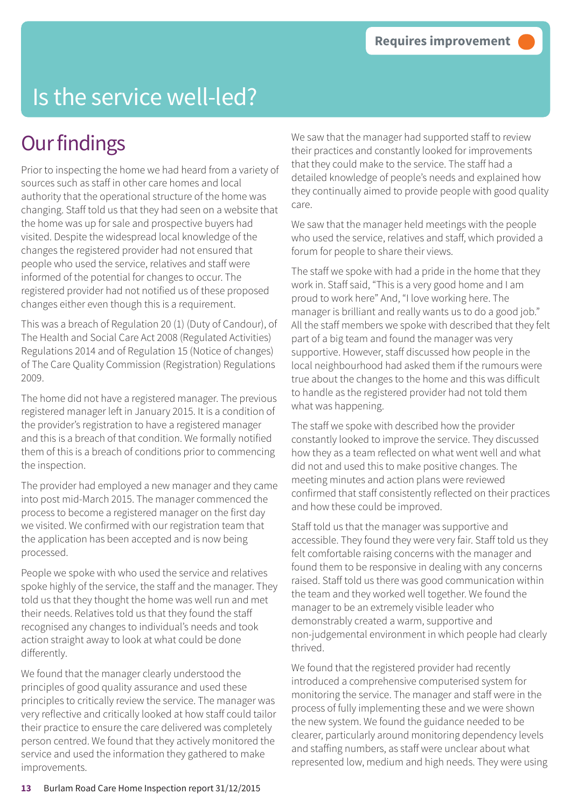### Is the service well-led?

#### **Our findings**

Prior to inspecting the home we had heard from a variety of sources such as staff in other care homes and local authority that the operational structure of the home was changing. Staff told us that they had seen on a website that the home was up for sale and prospective buyers had visited. Despite the widespread local knowledge of the changes the registered provider had not ensured that people who used the service, relatives and staff were informed of the potential for changes to occur. The registered provider had not notified us of these proposed changes either even though this is a requirement.

This was a breach of Regulation 20 (1) (Duty of Candour), of The Health and Social Care Act 2008 (Regulated Activities) Regulations 2014 and of Regulation 15 (Notice of changes) of The Care Quality Commission (Registration) Regulations 2009.

The home did not have a registered manager. The previous registered manager left in January 2015. It is a condition of the provider's registration to have a registered manager and this is a breach of that condition. We formally notified them of this is a breach of conditions prior to commencing the inspection.

The provider had employed a new manager and they came into post mid-March 2015. The manager commenced the process to become a registered manager on the first day we visited. We confirmed with our registration team that the application has been accepted and is now being processed.

People we spoke with who used the service and relatives spoke highly of the service, the staff and the manager. They told us that they thought the home was well run and met their needs. Relatives told us that they found the staff recognised any changes to individual's needs and took action straight away to look at what could be done differently.

We found that the manager clearly understood the principles of good quality assurance and used these principles to critically review the service. The manager was very reflective and critically looked at how staff could tailor their practice to ensure the care delivered was completely person centred. We found that they actively monitored the service and used the information they gathered to make improvements.

We saw that the manager had supported staff to review their practices and constantly looked for improvements that they could make to the service. The staff had a detailed knowledge of people's needs and explained how they continually aimed to provide people with good quality care.

We saw that the manager held meetings with the people who used the service, relatives and staff, which provided a forum for people to share their views.

The staff we spoke with had a pride in the home that they work in. Staff said, "This is a very good home and I am proud to work here" And, "I love working here. The manager is brilliant and really wants us to do a good job." All the staff members we spoke with described that they felt part of a big team and found the manager was very supportive. However, staff discussed how people in the local neighbourhood had asked them if the rumours were true about the changes to the home and this was difficult to handle as the registered provider had not told them what was happening.

The staff we spoke with described how the provider constantly looked to improve the service. They discussed how they as a team reflected on what went well and what did not and used this to make positive changes. The meeting minutes and action plans were reviewed confirmed that staff consistently reflected on their practices and how these could be improved.

Staff told us that the manager was supportive and accessible. They found they were very fair. Staff told us they felt comfortable raising concerns with the manager and found them to be responsive in dealing with any concerns raised. Staff told us there was good communication within the team and they worked well together. We found the manager to be an extremely visible leader who demonstrably created a warm, supportive and non-judgemental environment in which people had clearly thrived.

We found that the registered provider had recently introduced a comprehensive computerised system for monitoring the service. The manager and staff were in the process of fully implementing these and we were shown the new system. We found the guidance needed to be clearer, particularly around monitoring dependency levels and staffing numbers, as staff were unclear about what represented low, medium and high needs. They were using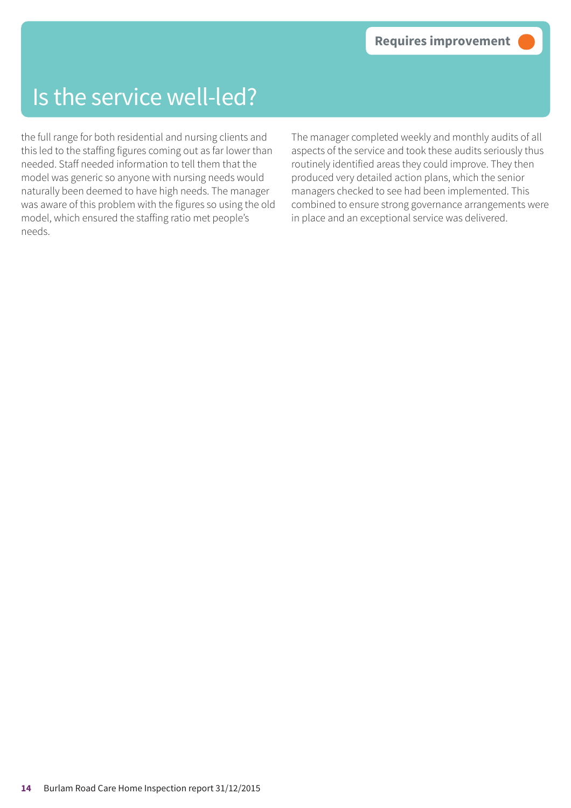#### Is the service well-led?

the full range for both residential and nursing clients and this led to the staffing figures coming out as far lower than needed. Staff needed information to tell them that the model was generic so anyone with nursing needs would naturally been deemed to have high needs. The manager was aware of this problem with the figures so using the old model, which ensured the staffing ratio met people's needs.

The manager completed weekly and monthly audits of all aspects of the service and took these audits seriously thus routinely identified areas they could improve. They then produced very detailed action plans, which the senior managers checked to see had been implemented. This combined to ensure strong governance arrangements were in place and an exceptional service was delivered.